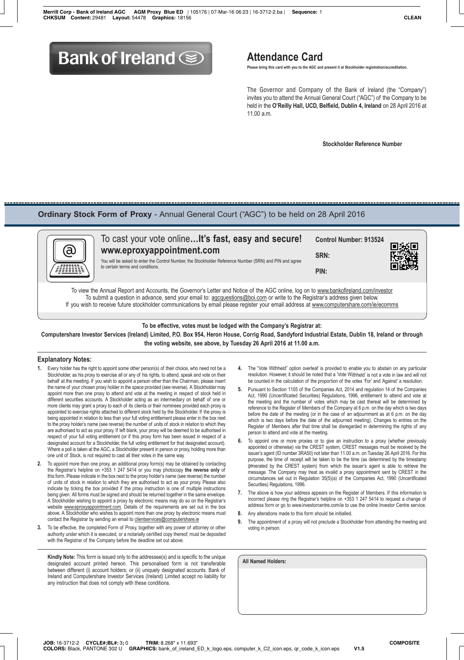# **Bank of Ireland Solution Attendance Card**

 **Please bring this card with you to the AGC and present it at Stockholder registration/accreditation.**

 The Governor and Company of the Bank of Ireland (the "Company") invites you to attend the Annual General Court ("AGC") of the Company to be held in the **O'Reilly Hall, UCD, Belfield, Dublin 4, Ireland** on 28 April 2016 at  $11.00 a m$ 

 **Stockholder Reference Number**

## **Ordinary Stock Form of Proxy** - Annual General Court ("AGC") to be held on 28 April 2016



|   | To cast your vote online It's fast, easy and secure!                                                                                                                                                                                                           | Control Number: 913524 |     |  |  |
|---|----------------------------------------------------------------------------------------------------------------------------------------------------------------------------------------------------------------------------------------------------------------|------------------------|-----|--|--|
|   | www.eproxyappointment.com<br>You will be asked to enter the Control Number, the Stockholder Reference Number (SRN) and PIN and agree<br>to certain terms and conditions.                                                                                       | SRN:                   | 回派回 |  |  |
| m |                                                                                                                                                                                                                                                                | PIN:                   | 可以说 |  |  |
|   | To view the Annual Report and Accounts, the Governor's Letter and Notice of the AGC online, log on to www.bankofireland.com/investor<br>To quippit a quantion in advance conducur email to agoguestions who can exurite to the Degistraria address given below |                        |     |  |  |

Io submit a question in advance, send your email to: agcquestions@boi.com or write to the Registrar's address given below. If you wish to receive future stockholder communications by email please register your email address at www.computershare.com/ie/ecomms

**To be effective, votes must be lodged with the Company's Registrar at: Computershare Investor Services (Ireland) Limited, P.O. Box 954, Heron House, Corrig Road, Sandyford Industrial Estate, Dublin 18, Ireland or through the voting website, see above, by Tuesday 26 April 2016 at 11.00 a.m.**

#### **Explanatory Notes:**

- **1.** Every holder has the right to appoint some other person(s) of their choice, who need not be a Stockholder, as his proxy to exercise all or any of his rights, to attend, speak and vote on their behalf at the meeting. If you wish to appoint a person other than the Chairman, please insert the name of your chosen proxy holder in the space provided (see reverse). A Stockholder may appoint more than one proxy to attend and vote at the meeting in respect of stock held in different securities accounts. A Stockholder acting as an intermediary on behalf of one or more clients may grant a proxy to each of its clients or their nominees provided each proxy is appointed to exercise rights attached to different stock held by the Stockholder. If the proxy is being appointed in relation to less than your full voting entitlement please enter in the box next to the proxy holder's name (see reverse) the number of units of stock in relation to which they are authorised to act as your proxy. If left blank, your proxy will be deemed to be authorised in respect of your full voting entitlement (or if this proxy form has been issued in respect of a designated account for a Stockholder, the full voting entitlement for that designated account). Where a poll is taken at the AGC, a Stockholder present in person or proxy, holding more than one unit of Stock, is not required to cast all their votes in the same way.
- **2.** To appoint more than one proxy, an additional proxy form(s) may be obtained by contacting the Registrar's helpline on +353 1 247 5414 or you may photocopy **the reverse only** of this form. Please indicate in the box next to the proxy holder's name (see reverse) the number of units of stock in relation to which they are authorised to act as your proxy. Please also indicate by ticking the box provided if the proxy instruction is one of multiple instructions being given. All forms must be signed and should be returned together in the same envelope. A Stockholder wishing to appoint a proxy by electronic means may do so on the Registrar's website www.eproxyappointment.com. Details of the requirements are set out in the box above. A Stockholder who wishes to appoint more than one proxy by electronic means must contact the Registrar by sending an email to clientservices@computershare.ie
- **3.** To be effective, the completed Form of Proxy, together with any power of attorney or other authority under which it is executed, or a notarially certified copy thereof, must be deposited with the Registrar of the Company before the deadline set out above.

**Kindly Note:** This form is issued only to the addressee(s) and is specific to the unique designated account printed hereon. This personalised form is not transferable between different (i) account holders; or (ii) uniquely designated accounts. Bank of Ireland and Computershare Investor Services (Ireland) Limited accept no liability for any instruction that does not comply with these conditions.

- **4.** The "Vote Withheld" option overleaf is provided to enable you to abstain on any particular resolution. However, it should be noted that a 'Vote Withheld' is not a vote in law and will not be counted in the calculation of the proportion of the votes 'For' and 'Against' a resolution.
- **5.** Pursuant to Section 1105 of the Companies Act, 2014 and regulation 14 of the Companies Act, 1990 (Uncertificated Securities) Regulations, 1996, entitlement to attend and vote at the meeting and the number of votes which may be cast thereat will be determined by reference to the Register of Members of the Company at 6 p.m. on the day which is two days before the date of the meeting (or in the case of an adjournment as at 6 p.m. on the day which is two days before the date of the adjourned meeting). Changes to entries on the Register of Members after that time shall be disregarded in determining the rights of any person to attend and vote at the meeting.
- **6.** To appoint one or more proxies or to give an instruction to a proxy (whether previously appointed or otherwise) via the CREST system, CREST messages must be received by the issuer's agent (ID number 3RA50) not later than 11.00 a.m. on Tuesday 26 April 2016. For this purpose, the time of receipt will be taken to be the time (as determined by the timestamp generated by the CREST system) from which the issuer's agent is able to retrieve the message. The Company may treat as invalid a proxy appointment sent by CREST in the circumstances set out in Regulation 35(5)(a) of the Companies Act, 1990 (Uncertificated Securities) Regulations, 1996.
- **7.** The above is how your address appears on the Register of Members. If this information is incorrect please ring the Registrar's helpline on +353 1 247 5414 to request a change of address form or go to www.investorcentre.com/ie to use the online Investor Centre service.
- **8.** Any alterations made to this form should be initialled.
- **9.** The appointment of a proxy will not preclude a Stockholder from attending the meeting and voting in person.

**All Named Holders:**